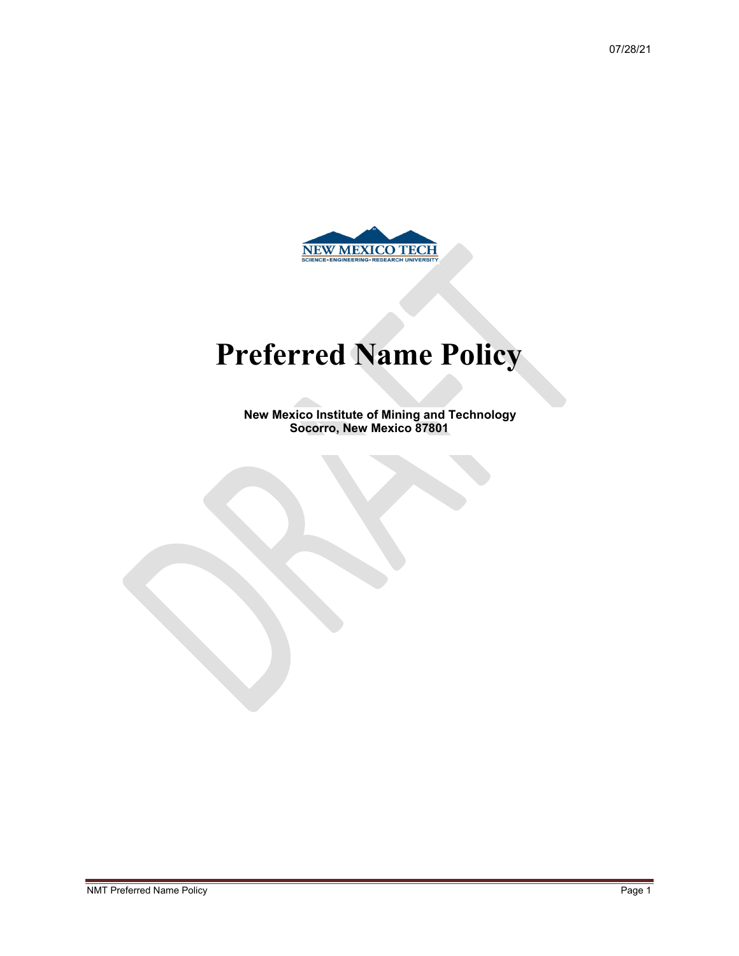

# **Preferred Name Policy**

**New Mexico Institute of Mining and Technology Socorro, New Mexico 87801**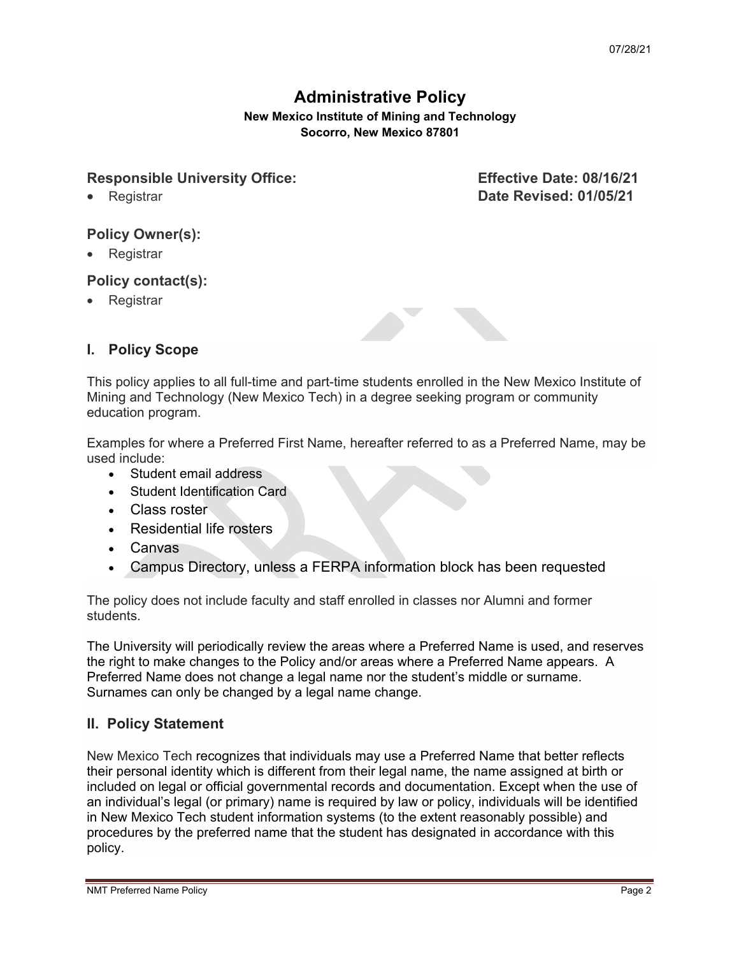# **Administrative Policy**

**New Mexico Institute of Mining and Technology Socorro, New Mexico 87801**

# Responsible University Office: Effective Date: 08/16/21

Registrar **Date Revised: 01/05/21**

- **Policy Owner(s):**
- Registrar

# **Policy contact(s):**

**Registrar** 



# **I. Policy Scope**

This policy applies to all full-time and part-time students enrolled in the New Mexico Institute of Mining and Technology (New Mexico Tech) in a degree seeking program or community education program.

Examples for where a Preferred First Name, hereafter referred to as a Preferred Name, may be used include:

- Student email address
- Student Identification Card
- Class roster
- Residential life rosters
- Canvas
- Campus Directory, unless a FERPA information block has been requested

The policy does not include faculty and staff enrolled in classes nor Alumni and former students.

The University will periodically review the areas where a Preferred Name is used, and reserves the right to make changes to the Policy and/or areas where a Preferred Name appears. A Preferred Name does not change a legal name nor the student's middle or surname. Surnames can only be changed by a legal name change.

# **II. Policy Statement**

New Mexico Tech recognizes that individuals may use a Preferred Name that better reflects their personal identity which is different from their legal name, the name assigned at birth or included on legal or official governmental records and documentation. Except when the use of an individual's legal (or primary) name is required by law or policy, individuals will be identified in New Mexico Tech student information systems (to the extent reasonably possible) and procedures by the preferred name that the student has designated in accordance with this policy.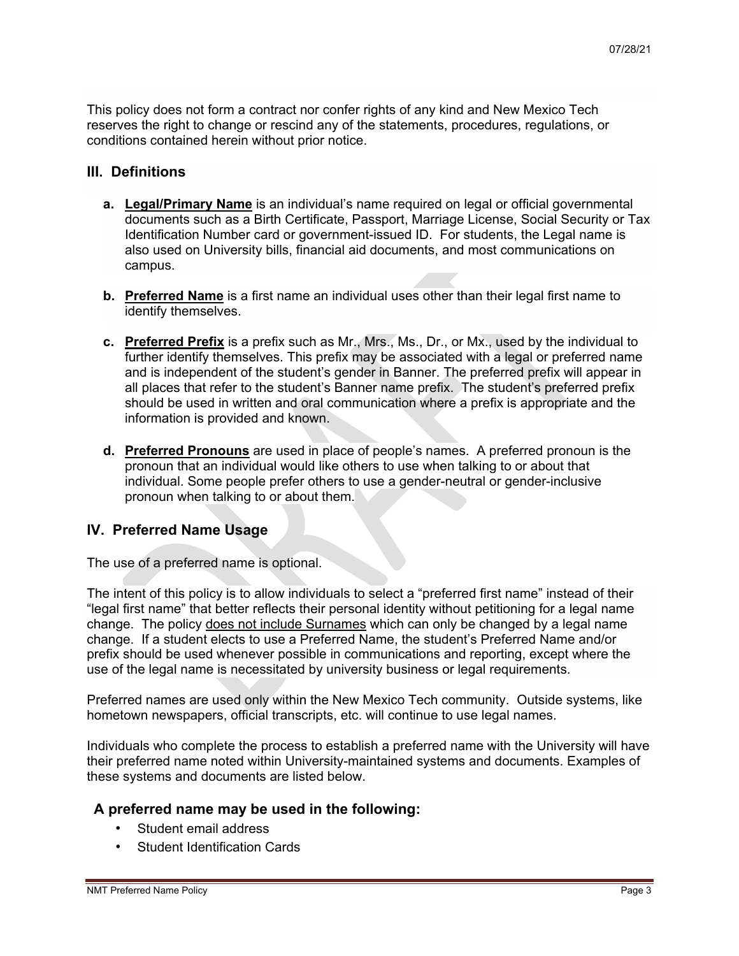This policy does not form a contract nor confer rights of any kind and New Mexico Tech reserves the right to change or rescind any of the statements, procedures, regulations, or conditions contained herein without prior notice.

#### **III. Definitions**

- **a. Legal/Primary Name** is an individual's name required on legal or official governmental documents such as a Birth Certificate, Passport, Marriage License, Social Security or Tax Identification Number card or government-issued ID. For students, the Legal name is also used on University bills, financial aid documents, and most communications on campus.
- **b. Preferred Name** is a first name an individual uses other than their legal first name to identify themselves.
- **c. Preferred Prefix** is a prefix such as Mr., Mrs., Ms., Dr., or Mx., used by the individual to further identify themselves. This prefix may be associated with a legal or preferred name and is independent of the student's gender in Banner. The preferred prefix will appear in all places that refer to the student's Banner name prefix. The student's preferred prefix should be used in written and oral communication where a prefix is appropriate and the information is provided and known.
- **d. Preferred Pronouns** are used in place of people's names. A preferred pronoun is the pronoun that an individual would like others to use when talking to or about that individual. Some people prefer others to use a gender-neutral or gender-inclusive pronoun when talking to or about them.

# **IV. Preferred Name Usage**

The use of a preferred name is optional.

The intent of this policy is to allow individuals to select a "preferred first name" instead of their "legal first name" that better reflects their personal identity without petitioning for a legal name change. The policy does not include Surnames which can only be changed by a legal name change. If a student elects to use a Preferred Name, the student's Preferred Name and/or prefix should be used whenever possible in communications and reporting, except where the use of the legal name is necessitated by university business or legal requirements.

Preferred names are used only within the New Mexico Tech community. Outside systems, like hometown newspapers, official transcripts, etc. will continue to use legal names.

Individuals who complete the process to establish a preferred name with the University will have their preferred name noted within University-maintained systems and documents. Examples of these systems and documents are listed below.

# **A preferred name may be used in the following:**

- Student email address
- Student Identification Cards